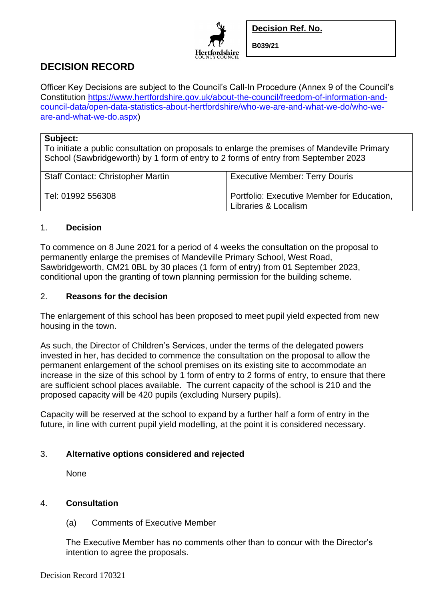

**Decision Ref. No.**

**B039/21**

# **DECISION RECORD**

Officer Key Decisions are subject to the Council's Call-In Procedure (Annex 9 of the Council's Constitution [https://www.hertfordshire.gov.uk/about-the-council/freedom-of-information-and](https://www.hertfordshire.gov.uk/about-the-council/freedom-of-information-and-council-data/open-data-statistics-about-hertfordshire/who-we-are-and-what-we-do/who-we-are-and-what-we-do.aspx)[council-data/open-data-statistics-about-hertfordshire/who-we-are-and-what-we-do/who-we](https://www.hertfordshire.gov.uk/about-the-council/freedom-of-information-and-council-data/open-data-statistics-about-hertfordshire/who-we-are-and-what-we-do/who-we-are-and-what-we-do.aspx)[are-and-what-we-do.aspx\)](https://www.hertfordshire.gov.uk/about-the-council/freedom-of-information-and-council-data/open-data-statistics-about-hertfordshire/who-we-are-and-what-we-do/who-we-are-and-what-we-do.aspx)

### **Subject:**

To initiate a public consultation on proposals to enlarge the premises of Mandeville Primary School (Sawbridgeworth) by 1 form of entry to 2 forms of entry from September 2023

| <b>Staff Contact: Christopher Martin</b> | <b>Executive Member: Terry Douris</b>                              |
|------------------------------------------|--------------------------------------------------------------------|
| Tel: 01992 556308                        | Portfolio: Executive Member for Education,<br>Libraries & Localism |

### 1. **Decision**

To commence on 8 June 2021 for a period of 4 weeks the consultation on the proposal to permanently enlarge the premises of Mandeville Primary School, West Road, Sawbridgeworth, CM21 0BL by 30 places (1 form of entry) from 01 September 2023, conditional upon the granting of town planning permission for the building scheme.

### 2. **Reasons for the decision**

The enlargement of this school has been proposed to meet pupil yield expected from new housing in the town.

As such, the Director of Children's Services, under the terms of the delegated powers invested in her, has decided to commence the consultation on the proposal to allow the permanent enlargement of the school premises on its existing site to accommodate an increase in the size of this school by 1 form of entry to 2 forms of entry, to ensure that there are sufficient school places available. The current capacity of the school is 210 and the proposed capacity will be 420 pupils (excluding Nursery pupils).

Capacity will be reserved at the school to expand by a further half a form of entry in the future, in line with current pupil yield modelling, at the point it is considered necessary.

## 3. **Alternative options considered and rejected**

None

#### 4. **Consultation**

(a) Comments of Executive Member

The Executive Member has no comments other than to concur with the Director's intention to agree the proposals.